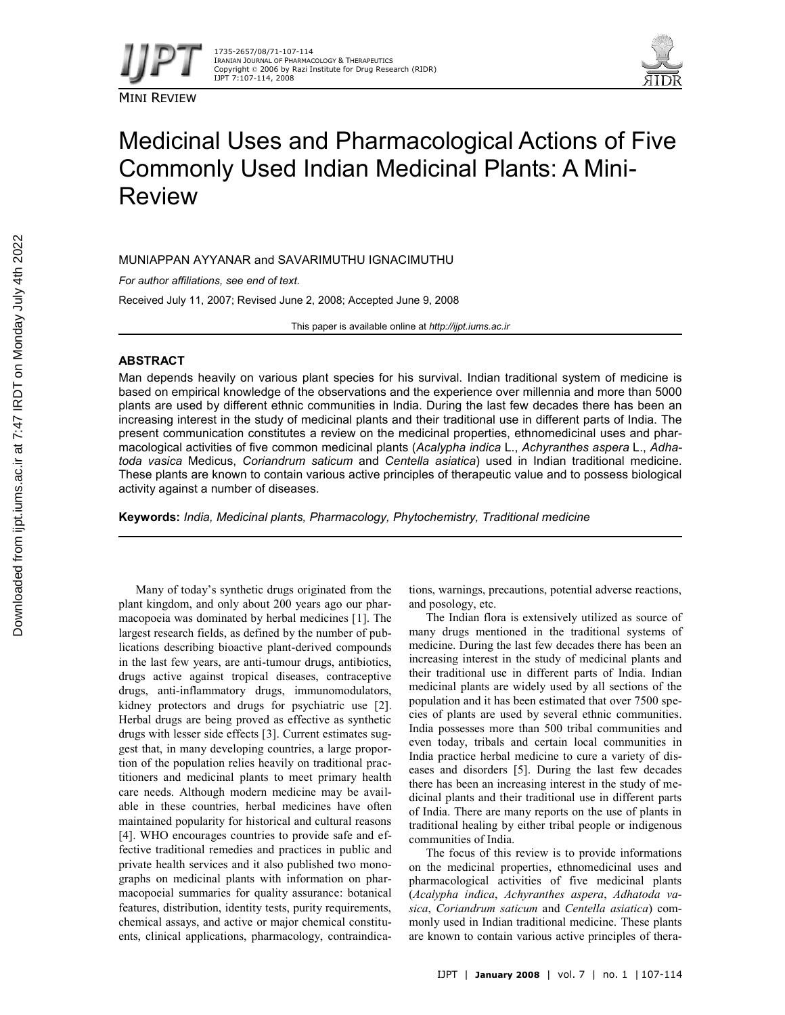

MINI REVIEW



# Medicinal Uses and Pharmacological Actions of Five Commonly Used Indian Medicinal Plants: A Mini-Review

MUNIAPPAN AYYANAR and SAVARIMUTHU IGNACIMUTHU

*For author affiliations, see end of text.*

Received July 11, 2007; Revised June 2, 2008; Accepted June 9, 2008

This paper is available online at *http://ijpt.iums.ac.ir*

# **ABSTRACT**

Man depends heavily on various plant species for his survival. Indian traditional system of medicine is based on empirical knowledge of the observations and the experience over millennia and more than 5000 plants are used by different ethnic communities in India. During the last few decades there has been an increasing interest in the study of medicinal plants and their traditional use in different parts of India. The present communication constitutes a review on the medicinal properties, ethnomedicinal uses and pharmacological activities of five common medicinal plants (*Acalypha indica* L., *Achyranthes aspera* L., *Adhatoda vasica* Medicus, *Coriandrum saticum* and *Centella asiatica*) used in Indian traditional medicine. These plants are known to contain various active principles of therapeutic value and to possess biological activity against a number of diseases.

**Keywords:** *India, Medicinal plants, Pharmacology, Phytochemistry, Traditional medicine*

Many of today's synthetic drugs originated from the plant kingdom, and only about 200 years ago our pharmacopoeia was dominated by herbal medicines [1]. The largest research fields, as defined by the number of publications describing bioactive plant-derived compounds in the last few years, are anti-tumour drugs, antibiotics, drugs active against tropical diseases, contraceptive drugs, anti-inflammatory drugs, immunomodulators, kidney protectors and drugs for psychiatric use [2]. Herbal drugs are being proved as effective as synthetic drugs with lesser side effects [3]. Current estimates suggest that, in many developing countries, a large proportion of the population relies heavily on traditional practitioners and medicinal plants to meet primary health care needs. Although modern medicine may be available in these countries, herbal medicines have often maintained popularity for historical and cultural reasons [4]. WHO encourages countries to provide safe and effective traditional remedies and practices in public and private health services and it also published two monographs on medicinal plants with information on pharmacopoeial summaries for quality assurance: botanical features, distribution, identity tests, purity requirements, chemical assays, and active or major chemical constituents, clinical applications, pharmacology, contraindications, warnings, precautions, potential adverse reactions, and posology, etc.

The Indian flora is extensively utilized as source of many drugs mentioned in the traditional systems of medicine. During the last few decades there has been an increasing interest in the study of medicinal plants and their traditional use in different parts of India. Indian medicinal plants are widely used by all sections of the population and it has been estimated that over 7500 species of plants are used by several ethnic communities. India possesses more than 500 tribal communities and even today, tribals and certain local communities in India practice herbal medicine to cure a variety of diseases and disorders [5]. During the last few decades there has been an increasing interest in the study of medicinal plants and their traditional use in different parts of India. There are many reports on the use of plants in traditional healing by either tribal people or indigenous communities of India.

The focus of this review is to provide informations on the medicinal properties, ethnomedicinal uses and pharmacological activities of five medicinal plants (*Acalypha indica*, *Achyranthes aspera*, *Adhatoda vasica*, *Coriandrum saticum* and *Centella asiatica*) commonly used in Indian traditional medicine. These plants are known to contain various active principles of thera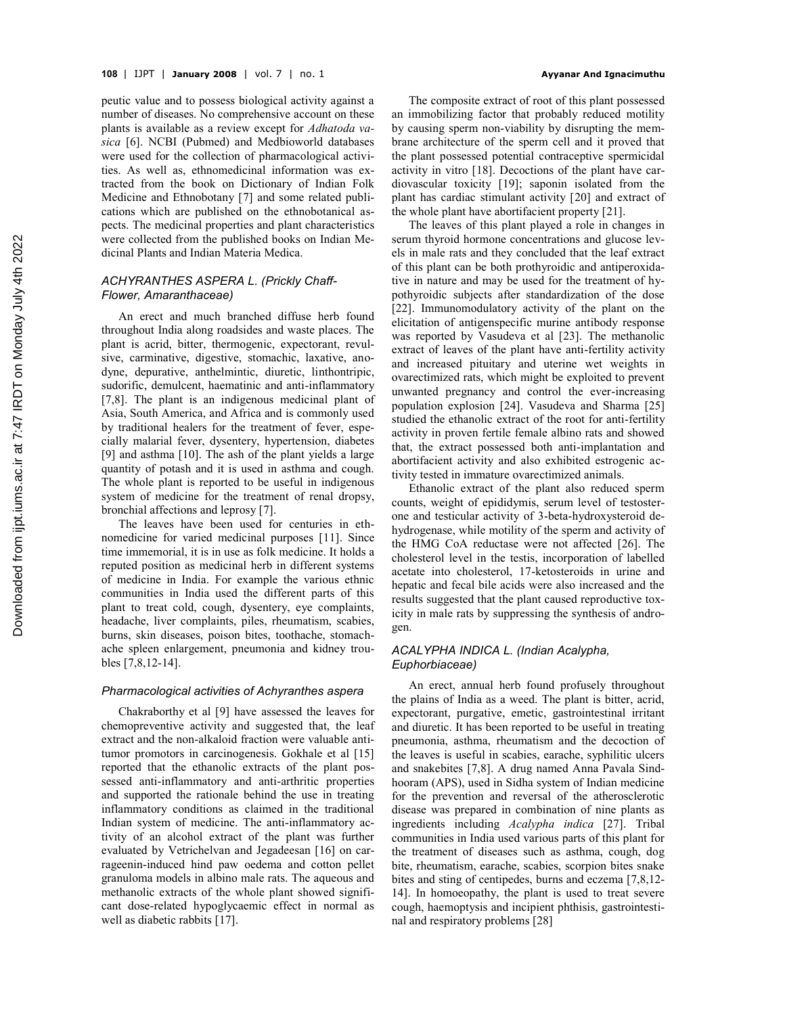peutic value and to possess biological activity against a number of diseases. No comprehensive account on these plants is available as a review except for *Adhatoda vasica* [6]. NCBI (Pubmed) and Medbioworld databases were used for the collection of pharmacological activities. As well as, ethnomedicinal information was extracted from the book on Dictionary of Indian Folk Medicine and Ethnobotany [7] and some related publications which are published on the ethnobotanical aspects. The medicinal properties and plant characteristics were collected from the published books on Indian Medicinal Plants and Indian Materia Medica.

# *ACHYRANTHES ASPERA L. (Prickly Chaff-Flower, Amaranthaceae)*

An erect and much branched diffuse herb found throughout India along roadsides and waste places. The plant is acrid, bitter, thermogenic, expectorant, revulsive, carminative, digestive, stomachic, laxative, anodyne, depurative, anthelmintic, diuretic, linthontripic, sudorific, demulcent, haematinic and anti-inflammatory [7,8]. The plant is an indigenous medicinal plant of Asia, South America, and Africa and is commonly used by traditional healers for the treatment of fever, especially malarial fever, dysentery, hypertension, diabetes [9] and asthma [10]. The ash of the plant yields a large quantity of potash and it is used in asthma and cough. The whole plant is reported to be useful in indigenous system of medicine for the treatment of renal dropsy, bronchial affections and leprosy [7].

The leaves have been used for centuries in ethnomedicine for varied medicinal purposes [11]. Since time immemorial, it is in use as folk medicine. It holds a reputed position as medicinal herb in different systems of medicine in India. For example the various ethnic communities in India used the different parts of this plant to treat cold, cough, dysentery, eye complaints, headache, liver complaints, piles, rheumatism, scabies, burns, skin diseases, poison bites, toothache, stomachache spleen enlargement, pneumonia and kidney troubles [7,8,12-14].

#### *Pharmacological activities of Achyranthes aspera*

Chakraborthy et al [9] have assessed the leaves for chemopreventive activity and suggested that, the leaf extract and the non-alkaloid fraction were valuable antitumor promotors in carcinogenesis. Gokhale et al [15] reported that the ethanolic extracts of the plant possessed anti-inflammatory and anti-arthritic properties and supported the rationale behind the use in treating inflammatory conditions as claimed in the traditional Indian system of medicine. The anti-inflammatory activity of an alcohol extract of the plant was further evaluated by Vetrichelvan and Jegadeesan [16] on carrageenin-induced hind paw oedema and cotton pellet granuloma models in albino male rats. The aqueous and methanolic extracts of the whole plant showed significant dose-related hypoglycaemic effect in normal as well as diabetic rabbits [17].

The composite extract of root of this plant possessed an immobilizing factor that probably reduced motility by causing sperm non-viability by disrupting the membrane architecture of the sperm cell and it proved that the plant possessed potential contraceptive spermicidal activity in vitro [18]. Decoctions of the plant have cardiovascular toxicity [19]; saponin isolated from the plant has cardiac stimulant activity [20] and extract of the whole plant have abortifacient property [21].

The leaves of this plant played a role in changes in serum thyroid hormone concentrations and glucose levels in male rats and they concluded that the leaf extract of this plant can be both prothyroidic and antiperoxidative in nature and may be used for the treatment of hypothyroidic subjects after standardization of the dose [22]. Immunomodulatory activity of the plant on the elicitation of antigenspecific murine antibody response was reported by Vasudeva et al [23]. The methanolic extract of leaves of the plant have anti-fertility activity and increased pituitary and uterine wet weights in ovarectimized rats, which might be exploited to prevent unwanted pregnancy and control the ever-increasing population explosion [24]. Vasudeva and Sharma [25] studied the ethanolic extract of the root for anti-fertility activity in proven fertile female albino rats and showed that, the extract possessed both anti-implantation and abortifacient activity and also exhibited estrogenic activity tested in immature ovarectimized animals.

Ethanolic extract of the plant also reduced sperm counts, weight of epididymis, serum level of testosterone and testicular activity of 3-beta-hydroxysteroid dehydrogenase, while motility of the sperm and activity of the HMG CoA reductase were not affected [26]. The cholesterol level in the testis, incorporation of labelled acetate into cholesterol, 17-ketosteroids in urine and hepatic and fecal bile acids were also increased and the results suggested that the plant caused reproductive toxicity in male rats by suppressing the synthesis of androgen.

# *ACALYPHA INDICA L. (Indian Acalypha, Euphorbiaceae)*

An erect, annual herb found profusely throughout the plains of India as a weed. The plant is bitter, acrid, expectorant, purgative, emetic, gastrointestinal irritant and diuretic. It has been reported to be useful in treating pneumonia, asthma, rheumatism and the decoction of the leaves is useful in scabies, earache, syphilitic ulcers and snakebites [7,8]. A drug named Anna Pavala Sindhooram (APS), used in Sidha system of Indian medicine for the prevention and reversal of the atherosclerotic disease was prepared in combination of nine plants as ingredients including *Acalypha indica* [27]. Tribal communities in India used various parts of this plant for the treatment of diseases such as asthma, cough, dog bite, rheumatism, earache, scabies, scorpion bites snake bites and sting of centipedes, burns and eczema [7,8,12- 14]. In homoeopathy, the plant is used to treat severe cough, haemoptysis and incipient phthisis, gastrointestinal and respiratory problems [28]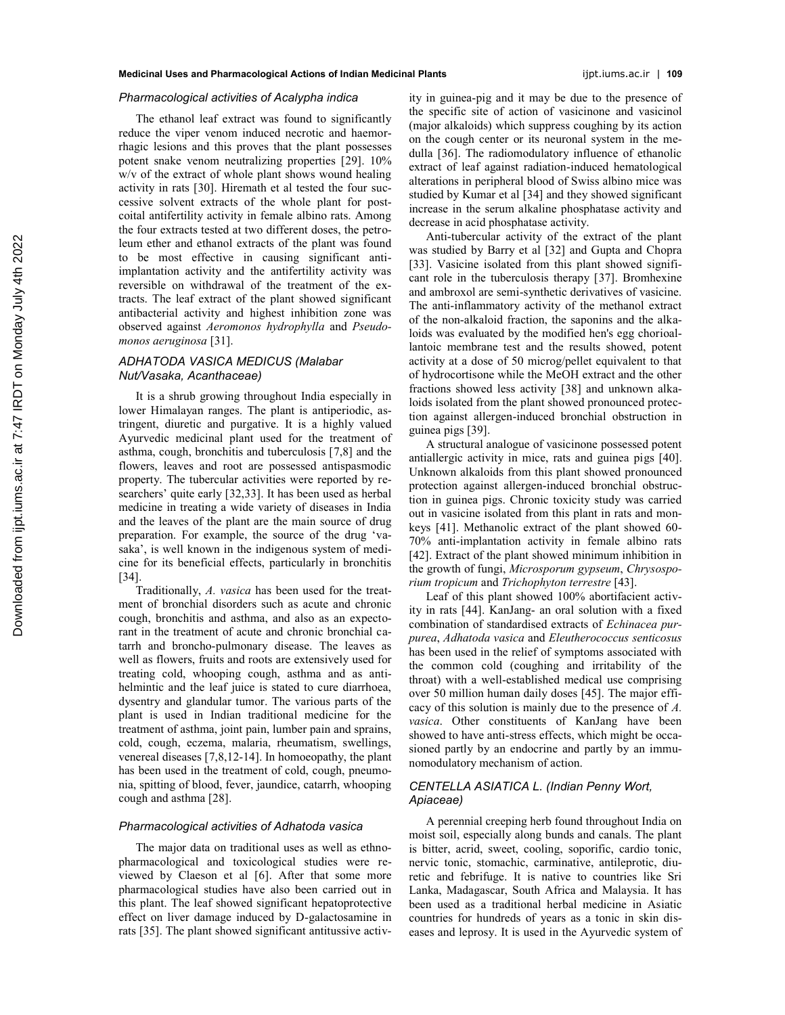#### *Pharmacological activities of Acalypha indica*

The ethanol leaf extract was found to significantly reduce the viper venom induced necrotic and haemorrhagic lesions and this proves that the plant possesses potent snake venom neutralizing properties [29]. 10% w/v of the extract of whole plant shows wound healing activity in rats [30]. Hiremath et al tested the four successive solvent extracts of the whole plant for postcoital antifertility activity in female albino rats. Among the four extracts tested at two different doses, the petroleum ether and ethanol extracts of the plant was found to be most effective in causing significant antiimplantation activity and the antifertility activity was reversible on withdrawal of the treatment of the extracts. The leaf extract of the plant showed significant antibacterial activity and highest inhibition zone was observed against *Aeromonos hydrophylla* and *Pseudomonos aeruginosa* [31].

# *ADHATODA VASICA MEDICUS (Malabar Nut/Vasaka, Acanthaceae)*

It is a shrub growing throughout India especially in lower Himalayan ranges. The plant is antiperiodic, astringent, diuretic and purgative. It is a highly valued Ayurvedic medicinal plant used for the treatment of asthma, cough, bronchitis and tuberculosis [7,8] and the flowers, leaves and root are possessed antispasmodic property. The tubercular activities were reported by researchers' quite early [32,33]. It has been used as herbal medicine in treating a wide variety of diseases in India and the leaves of the plant are the main source of drug preparation. For example, the source of the drug 'vasaka', is well known in the indigenous system of medicine for its beneficial effects, particularly in bronchitis [34].

Traditionally, *A. vasica* has been used for the treatment of bronchial disorders such as acute and chronic cough, bronchitis and asthma, and also as an expectorant in the treatment of acute and chronic bronchial catarrh and broncho-pulmonary disease. The leaves as well as flowers, fruits and roots are extensively used for treating cold, whooping cough, asthma and as antihelmintic and the leaf juice is stated to cure diarrhoea, dysentry and glandular tumor. The various parts of the plant is used in Indian traditional medicine for the treatment of asthma, joint pain, lumber pain and sprains, cold, cough, eczema, malaria, rheumatism, swellings, venereal diseases [7,8,12-14]. In homoeopathy, the plant has been used in the treatment of cold, cough, pneumonia, spitting of blood, fever, jaundice, catarrh, whooping cough and asthma [28].

# *Pharmacological activities of Adhatoda vasica*

The major data on traditional uses as well as ethnopharmacological and toxicological studies were reviewed by Claeson et al [6]. After that some more pharmacological studies have also been carried out in this plant. The leaf showed significant hepatoprotective effect on liver damage induced by D-galactosamine in rats [35]. The plant showed significant antitussive activity in guinea-pig and it may be due to the presence of the specific site of action of vasicinone and vasicinol (major alkaloids) which suppress coughing by its action on the cough center or its neuronal system in the medulla [36]. The radiomodulatory influence of ethanolic extract of leaf against radiation-induced hematological alterations in peripheral blood of Swiss albino mice was studied by Kumar et al [34] and they showed significant increase in the serum alkaline phosphatase activity and decrease in acid phosphatase activity.

Anti-tubercular activity of the extract of the plant was studied by Barry et al [32] and Gupta and Chopra [33]. Vasicine isolated from this plant showed significant role in the tuberculosis therapy [37]. Bromhexine and ambroxol are semi-synthetic derivatives of vasicine. The anti-inflammatory activity of the methanol extract of the non-alkaloid fraction, the saponins and the alkaloids was evaluated by the modified hen's egg chorioallantoic membrane test and the results showed, potent activity at a dose of 50 microg/pellet equivalent to that of hydrocortisone while the MeOH extract and the other fractions showed less activity [38] and unknown alkaloids isolated from the plant showed pronounced protection against allergen-induced bronchial obstruction in guinea pigs [39].

A structural analogue of vasicinone possessed potent antiallergic activity in mice, rats and guinea pigs [40]. Unknown alkaloids from this plant showed pronounced protection against allergen-induced bronchial obstruction in guinea pigs. Chronic toxicity study was carried out in vasicine isolated from this plant in rats and monkeys [41]. Methanolic extract of the plant showed 60- 70% anti-implantation activity in female albino rats [42]. Extract of the plant showed minimum inhibition in the growth of fungi, *Microsporum gypseum*, *Chrysosporium tropicum* and *Trichophyton terrestre* [43].

Leaf of this plant showed 100% abortifacient activity in rats [44]. KanJang- an oral solution with a fixed combination of standardised extracts of *Echinacea purpurea*, *Adhatoda vasica* and *Eleutherococcus senticosus* has been used in the relief of symptoms associated with the common cold (coughing and irritability of the throat) with a well-established medical use comprising over 50 million human daily doses [45]. The major efficacy of this solution is mainly due to the presence of *A. vasica*. Other constituents of KanJang have been showed to have anti-stress effects, which might be occasioned partly by an endocrine and partly by an immunomodulatory mechanism of action.

# *CENTELLA ASIATICA L. (Indian Penny Wort, Apiaceae)*

A perennial creeping herb found throughout India on moist soil, especially along bunds and canals. The plant is bitter, acrid, sweet, cooling, soporific, cardio tonic, nervic tonic, stomachic, carminative, antileprotic, diuretic and febrifuge. It is native to countries like Sri Lanka, Madagascar, South Africa and Malaysia. It has been used as a traditional herbal medicine in Asiatic countries for hundreds of years as a tonic in skin diseases and leprosy. It is used in the Ayurvedic system of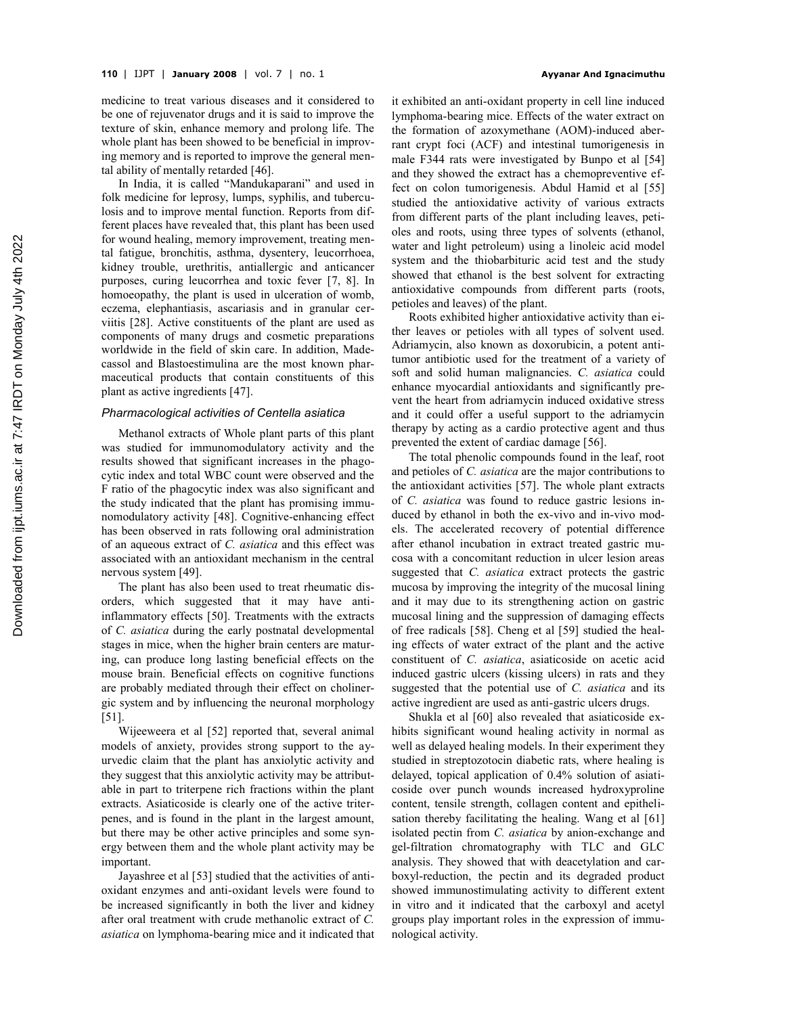medicine to treat various diseases and it considered to be one of rejuvenator drugs and it is said to improve the texture of skin, enhance memory and prolong life. The whole plant has been showed to be beneficial in improving memory and is reported to improve the general mental ability of mentally retarded [46].

In India, it is called "Mandukaparani" and used in folk medicine for leprosy, lumps, syphilis, and tuberculosis and to improve mental function. Reports from different places have revealed that, this plant has been used for wound healing, memory improvement, treating mental fatigue, bronchitis, asthma, dysentery, leucorrhoea, kidney trouble, urethritis, antiallergic and anticancer purposes, curing leucorrhea and toxic fever [7, 8]. In homoeopathy, the plant is used in ulceration of womb, eczema, elephantiasis, ascariasis and in granular cerviitis [28]. Active constituents of the plant are used as components of many drugs and cosmetic preparations worldwide in the field of skin care. In addition, Madecassol and Blastoestimulina are the most known pharmaceutical products that contain constituents of this plant as active ingredients [47].

#### *Pharmacological activities of Centella asiatica*

Methanol extracts of Whole plant parts of this plant was studied for immunomodulatory activity and the results showed that significant increases in the phagocytic index and total WBC count were observed and the F ratio of the phagocytic index was also significant and the study indicated that the plant has promising immunomodulatory activity [48]. Cognitive-enhancing effect has been observed in rats following oral administration of an aqueous extract of *C. asiatica* and this effect was associated with an antioxidant mechanism in the central nervous system [49].

The plant has also been used to treat rheumatic disorders, which suggested that it may have antiinflammatory effects [50]. Treatments with the extracts of *C. asiatica* during the early postnatal developmental stages in mice, when the higher brain centers are maturing, can produce long lasting beneficial effects on the mouse brain. Beneficial effects on cognitive functions are probably mediated through their effect on cholinergic system and by influencing the neuronal morphology [51].

Wijeeweera et al [52] reported that, several animal models of anxiety, provides strong support to the ayurvedic claim that the plant has anxiolytic activity and they suggest that this anxiolytic activity may be attributable in part to triterpene rich fractions within the plant extracts. Asiaticoside is clearly one of the active triterpenes, and is found in the plant in the largest amount, but there may be other active principles and some synergy between them and the whole plant activity may be important.

Jayashree et al [53] studied that the activities of antioxidant enzymes and anti-oxidant levels were found to be increased significantly in both the liver and kidney after oral treatment with crude methanolic extract of *C. asiatica* on lymphoma-bearing mice and it indicated that

it exhibited an anti-oxidant property in cell line induced lymphoma-bearing mice. Effects of the water extract on the formation of azoxymethane (AOM)-induced aberrant crypt foci (ACF) and intestinal tumorigenesis in male F344 rats were investigated by Bunpo et al [54] and they showed the extract has a chemopreventive effect on colon tumorigenesis. Abdul Hamid et al [55] studied the antioxidative activity of various extracts from different parts of the plant including leaves, petioles and roots, using three types of solvents (ethanol, water and light petroleum) using a linoleic acid model system and the thiobarbituric acid test and the study showed that ethanol is the best solvent for extracting antioxidative compounds from different parts (roots, petioles and leaves) of the plant.

Roots exhibited higher antioxidative activity than either leaves or petioles with all types of solvent used. Adriamycin, also known as doxorubicin, a potent antitumor antibiotic used for the treatment of a variety of soft and solid human malignancies. *C. asiatica* could enhance myocardial antioxidants and significantly prevent the heart from adriamycin induced oxidative stress and it could offer a useful support to the adriamycin therapy by acting as a cardio protective agent and thus prevented the extent of cardiac damage [56].

The total phenolic compounds found in the leaf, root and petioles of *C. asiatica* are the major contributions to the antioxidant activities [57]. The whole plant extracts of *C. asiatica* was found to reduce gastric lesions induced by ethanol in both the ex-vivo and in-vivo models. The accelerated recovery of potential difference after ethanol incubation in extract treated gastric mucosa with a concomitant reduction in ulcer lesion areas suggested that *C. asiatica* extract protects the gastric mucosa by improving the integrity of the mucosal lining and it may due to its strengthening action on gastric mucosal lining and the suppression of damaging effects of free radicals [58]. Cheng et al [59] studied the healing effects of water extract of the plant and the active constituent of *C. asiatica*, asiaticoside on acetic acid induced gastric ulcers (kissing ulcers) in rats and they suggested that the potential use of *C. asiatica* and its active ingredient are used as anti-gastric ulcers drugs.

Shukla et al [60] also revealed that asiaticoside exhibits significant wound healing activity in normal as well as delayed healing models. In their experiment they studied in streptozotocin diabetic rats, where healing is delayed, topical application of 0.4% solution of asiaticoside over punch wounds increased hydroxyproline content, tensile strength, collagen content and epithelisation thereby facilitating the healing. Wang et al [61] isolated pectin from *C. asiatica* by anion-exchange and gel-filtration chromatography with TLC and GLC analysis. They showed that with deacetylation and carboxyl-reduction, the pectin and its degraded product showed immunostimulating activity to different extent in vitro and it indicated that the carboxyl and acetyl groups play important roles in the expression of immunological activity.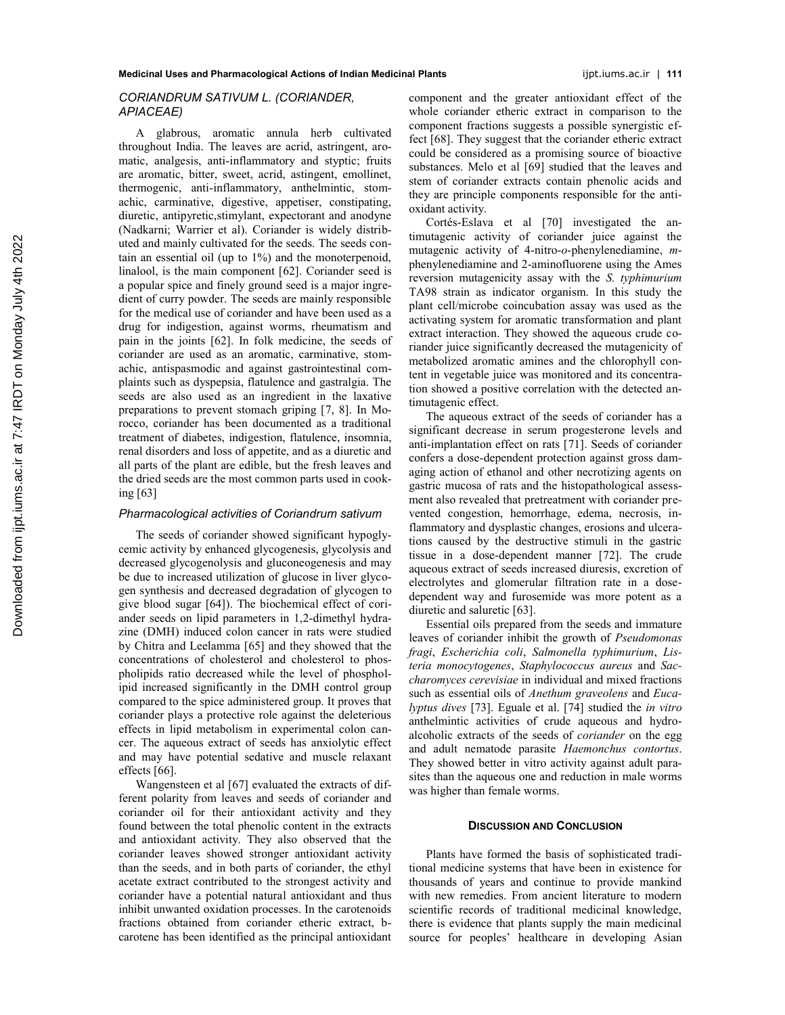# *CORIANDRUM SATIVUM L. (CORIANDER, APIACEAE)*

A glabrous, aromatic annula herb cultivated throughout India. The leaves are acrid, astringent, aromatic, analgesis, anti-inflammatory and styptic; fruits are aromatic, bitter, sweet, acrid, astingent, emollinet, thermogenic, anti-inflammatory, anthelmintic, stomachic, carminative, digestive, appetiser, constipating, diuretic, antipyretic,stimylant, expectorant and anodyne (Nadkarni; Warrier et al). Coriander is widely distributed and mainly cultivated for the seeds. The seeds contain an essential oil (up to 1%) and the monoterpenoid, linalool, is the main component [62]. Coriander seed is a popular spice and finely ground seed is a major ingredient of curry powder. The seeds are mainly responsible for the medical use of coriander and have been used as a drug for indigestion, against worms, rheumatism and pain in the joints [62]. In folk medicine, the seeds of coriander are used as an aromatic, carminative, stomachic, antispasmodic and against gastrointestinal complaints such as dyspepsia, flatulence and gastralgia. The seeds are also used as an ingredient in the laxative preparations to prevent stomach griping [7, 8]. In Morocco, coriander has been documented as a traditional treatment of diabetes, indigestion, flatulence, insomnia, renal disorders and loss of appetite, and as a diuretic and all parts of the plant are edible, but the fresh leaves and the dried seeds are the most common parts used in cooking [63]

#### *Pharmacological activities of Coriandrum sativum*

The seeds of coriander showed significant hypoglycemic activity by enhanced glycogenesis, glycolysis and decreased glycogenolysis and gluconeogenesis and may be due to increased utilization of glucose in liver glycogen synthesis and decreased degradation of glycogen to give blood sugar [64]). The biochemical effect of coriander seeds on lipid parameters in 1,2-dimethyl hydrazine (DMH) induced colon cancer in rats were studied by Chitra and Leelamma [65] and they showed that the concentrations of cholesterol and cholesterol to phospholipids ratio decreased while the level of phospholipid increased significantly in the DMH control group compared to the spice administered group. It proves that coriander plays a protective role against the deleterious effects in lipid metabolism in experimental colon cancer. The aqueous extract of seeds has anxiolytic effect and may have potential sedative and muscle relaxant effects [66].

Wangensteen et al [67] evaluated the extracts of different polarity from leaves and seeds of coriander and coriander oil for their antioxidant activity and they found between the total phenolic content in the extracts and antioxidant activity. They also observed that the coriander leaves showed stronger antioxidant activity than the seeds, and in both parts of coriander, the ethyl acetate extract contributed to the strongest activity and coriander have a potential natural antioxidant and thus inhibit unwanted oxidation processes. In the carotenoids fractions obtained from coriander etheric extract, bcarotene has been identified as the principal antioxidant component and the greater antioxidant effect of the whole coriander etheric extract in comparison to the component fractions suggests a possible synergistic effect [68]. They suggest that the coriander etheric extract could be considered as a promising source of bioactive substances. Melo et al [69] studied that the leaves and stem of coriander extracts contain phenolic acids and they are principle components responsible for the antioxidant activity.

Cortés-Eslava et al [70] investigated the antimutagenic activity of coriander juice against the mutagenic activity of 4-nitro-*o*-phenylenediamine, *m*phenylenediamine and 2-aminofluorene using the Ames reversion mutagenicity assay with the *S. typhimurium* TA98 strain as indicator organism. In this study the plant cell/microbe coincubation assay was used as the activating system for aromatic transformation and plant extract interaction. They showed the aqueous crude coriander juice significantly decreased the mutagenicity of metabolized aromatic amines and the chlorophyll content in vegetable juice was monitored and its concentration showed a positive correlation with the detected antimutagenic effect.

The aqueous extract of the seeds of coriander has a significant decrease in serum progesterone levels and anti-implantation effect on rats [71]. Seeds of coriander confers a dose-dependent protection against gross damaging action of ethanol and other necrotizing agents on gastric mucosa of rats and the histopathological assessment also revealed that pretreatment with coriander prevented congestion, hemorrhage, edema, necrosis, inflammatory and dysplastic changes, erosions and ulcerations caused by the destructive stimuli in the gastric tissue in a dose-dependent manner [72]. The crude aqueous extract of seeds increased diuresis, excretion of electrolytes and glomerular filtration rate in a dosedependent way and furosemide was more potent as a diuretic and saluretic [63].

Essential oils prepared from the seeds and immature leaves of coriander inhibit the growth of *Pseudomonas fragi*, *Escherichia coli*, *Salmonella typhimurium*, *Listeria monocytogenes*, *Staphylococcus aureus* and *Saccharomyces cerevisiae* in individual and mixed fractions such as essential oils of *Anethum graveolens* and *Eucalyptus dives* [73]. Eguale et al. [74] studied the *in vitro* anthelmintic activities of crude aqueous and hydroalcoholic extracts of the seeds of *coriander* on the egg and adult nematode parasite *Haemonchus contortus*. They showed better in vitro activity against adult parasites than the aqueous one and reduction in male worms was higher than female worms.

#### **DISCUSSION AND CONCLUSION**

Plants have formed the basis of sophisticated traditional medicine systems that have been in existence for thousands of years and continue to provide mankind with new remedies. From ancient literature to modern scientific records of traditional medicinal knowledge, there is evidence that plants supply the main medicinal source for peoples' healthcare in developing Asian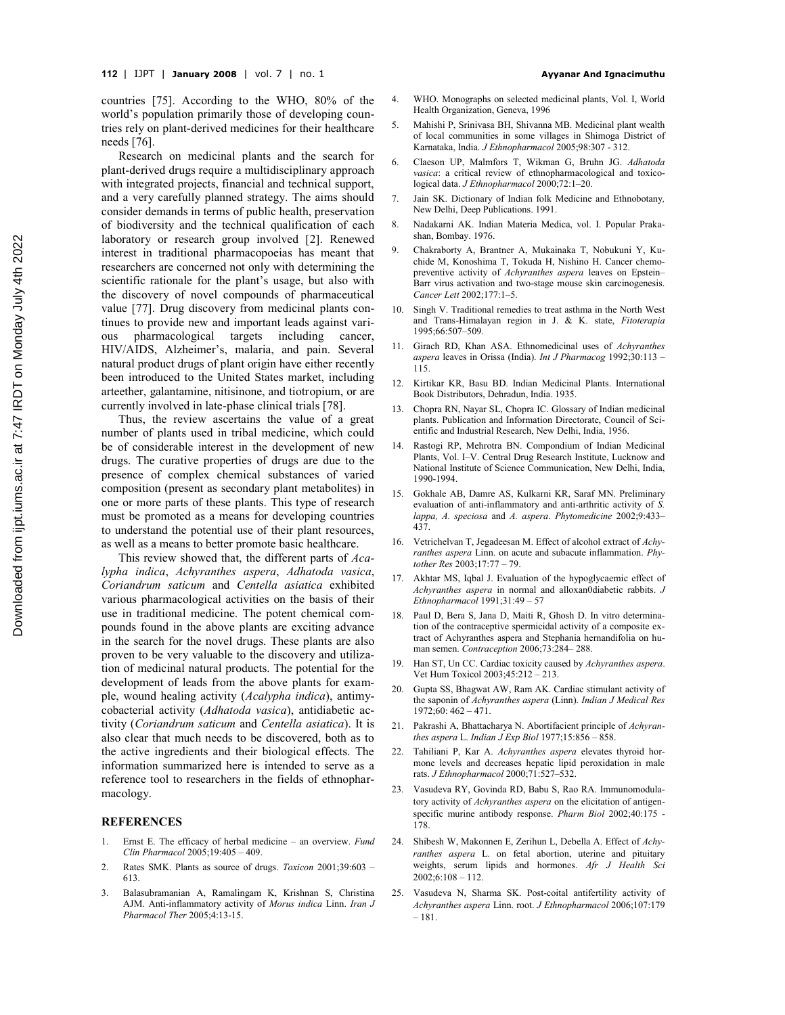countries [75]. According to the WHO, 80% of the world's population primarily those of developing countries rely on plant-derived medicines for their healthcare needs [76].

Research on medicinal plants and the search for plant-derived drugs require a multidisciplinary approach with integrated projects, financial and technical support, and a very carefully planned strategy. The aims should consider demands in terms of public health, preservation of biodiversity and the technical qualification of each laboratory or research group involved [2]. Renewed interest in traditional pharmacopoeias has meant that researchers are concerned not only with determining the scientific rationale for the plant's usage, but also with the discovery of novel compounds of pharmaceutical value [77]. Drug discovery from medicinal plants continues to provide new and important leads against various pharmacological targets including cancer, HIV/AIDS, Alzheimer's, malaria, and pain. Several natural product drugs of plant origin have either recently been introduced to the United States market, including arteether, galantamine, nitisinone, and tiotropium, or are currently involved in late-phase clinical trials [78].

Thus, the review ascertains the value of a great number of plants used in tribal medicine, which could be of considerable interest in the development of new drugs. The curative properties of drugs are due to the presence of complex chemical substances of varied composition (present as secondary plant metabolites) in one or more parts of these plants. This type of research must be promoted as a means for developing countries to understand the potential use of their plant resources, as well as a means to better promote basic healthcare.

This review showed that, the different parts of *Acalypha indica*, *Achyranthes aspera*, *Adhatoda vasica*, *Coriandrum saticum* and *Centella asiatica* exhibited various pharmacological activities on the basis of their use in traditional medicine. The potent chemical compounds found in the above plants are exciting advance in the search for the novel drugs. These plants are also proven to be very valuable to the discovery and utilization of medicinal natural products. The potential for the development of leads from the above plants for example, wound healing activity (*Acalypha indica*), antimycobacterial activity (*Adhatoda vasica*), antidiabetic activity (*Coriandrum saticum* and *Centella asiatica*). It is also clear that much needs to be discovered, both as to the active ingredients and their biological effects. The information summarized here is intended to serve as a reference tool to researchers in the fields of ethnopharmacology.

#### **REFERENCES**

- 1. Ernst E. The efficacy of herbal medicine an overview. *Fund Clin Pharmacol* 2005;19:405 – 409.
- 2. Rates SMK. Plants as source of drugs. *Toxicon* 2001;39:603 613.
- 3. Balasubramanian A, Ramalingam K, Krishnan S, Christina AJM. Anti-inflammatory activity of *Morus indica* Linn. *Iran J Pharmacol Ther* 2005;4:13-15.
- 4. WHO. Monographs on selected medicinal plants, Vol. I, World Health Organization, Geneva, 1996
- 5. Mahishi P, Srinivasa BH, Shivanna MB. Medicinal plant wealth of local communities in some villages in Shimoga District of Karnataka, India. *J Ethnopharmacol* 2005;98:307 - 312.
- 6. Claeson UP, Malmfors T, Wikman G, Bruhn JG. *Adhatoda vasica*: a critical review of ethnopharmacological and toxicological data. *J Ethnopharmacol* 2000;72:1–20.
- 7. Jain SK. Dictionary of Indian folk Medicine and Ethnobotany*,* New Delhi, Deep Publications. 1991.
- 8. Nadakarni AK. Indian Materia Medica, vol. I. Popular Prakashan, Bombay. 1976.
- 9. Chakraborty A, Brantner A, Mukainaka T, Nobukuni Y, Kuchide M, Konoshima T, Tokuda H, Nishino H. Cancer chemopreventive activity of *Achyranthes aspera* leaves on Epstein– Barr virus activation and two-stage mouse skin carcinogenesis. *Cancer Lett* 2002;177:1–5.
- 10. Singh V. Traditional remedies to treat asthma in the North West and Trans-Himalayan region in J. & K. state, *Fitoterapia* 1995;66:507–509.
- 11. Girach RD, Khan ASA. Ethnomedicinal uses of *Achyranthes aspera* leaves in Orissa (India). *Int J Pharmacog* 1992;30:113 – 115.
- 12. Kirtikar KR, Basu BD. Indian Medicinal Plants. International Book Distributors, Dehradun, India. 1935.
- 13. Chopra RN, Nayar SL, Chopra IC. Glossary of Indian medicinal plants. Publication and Information Directorate, Council of Scientific and Industrial Research, New Delhi, India, 1956.
- 14. Rastogi RP, Mehrotra BN. Compondium of Indian Medicinal Plants, Vol. I–V. Central Drug Research Institute, Lucknow and National Institute of Science Communication, New Delhi, India, 1990-1994.
- 15. Gokhale AB, Damre AS, Kulkarni KR, Saraf MN. Preliminary evaluation of anti-inflammatory and anti-arthritic activity of *S. lappa, A. speciosa* and *A. aspera*. *Phytomedicine* 2002;9:433– 437.
- 16. Vetrichelvan T, Jegadeesan M. Effect of alcohol extract of *Achyranthes aspera* Linn. on acute and subacute inflammation. *Phytother Res* 2003;17:77 – 79.
- Akhtar MS, Iqbal J. Evaluation of the hypoglycaemic effect of *Achyranthes aspera* in normal and alloxan0diabetic rabbits. *J Ethnopharmacol* 1991;31:49 – 57
- 18. Paul D, Bera S, Jana D, Maiti R, Ghosh D. In vitro determination of the contraceptive spermicidal activity of a composite extract of Achyranthes aspera and Stephania hernandifolia on human semen. *Contraception* 2006;73:284– 288.
- 19. Han ST, Un CC. Cardiac toxicity caused by *Achyranthes aspera*. Vet Hum Toxicol 2003;45:212 – 213.
- 20. Gupta SS, Bhagwat AW, Ram AK. Cardiac stimulant activity of the saponin of *Achyranthes aspera* (Linn). *Indian J Medical Res*  $1972; 60: 462 - 471.$
- 21. Pakrashi A, Bhattacharya N. Abortifacient principle of *Achyranthes aspera* L. *Indian J Exp Biol* 1977;15:856 – 858.
- 22. Tahiliani P, Kar A. *Achyranthes aspera* elevates thyroid hormone levels and decreases hepatic lipid peroxidation in male rats. *J Ethnopharmacol* 2000;71:527–532.
- 23. Vasudeva RY, Govinda RD, Babu S, Rao RA. Immunomodulatory activity of *Achyranthes aspera* on the elicitation of antigenspecific murine antibody response. *Pharm Biol* 2002;40:175 - 178.
- 24. Shibesh W, Makonnen E, Zerihun L, Debella A. Effect of *Achyranthes aspera* L. on fetal abortion, uterine and pituitary weights, serum lipids and hormones. *Afr J Health Sci*  $2002:6:108 - 112$ .
- 25. Vasudeva N, Sharma SK. Post-coital antifertility activity of *Achyranthes aspera* Linn. root. *J Ethnopharmacol* 2006;107:179 – 181.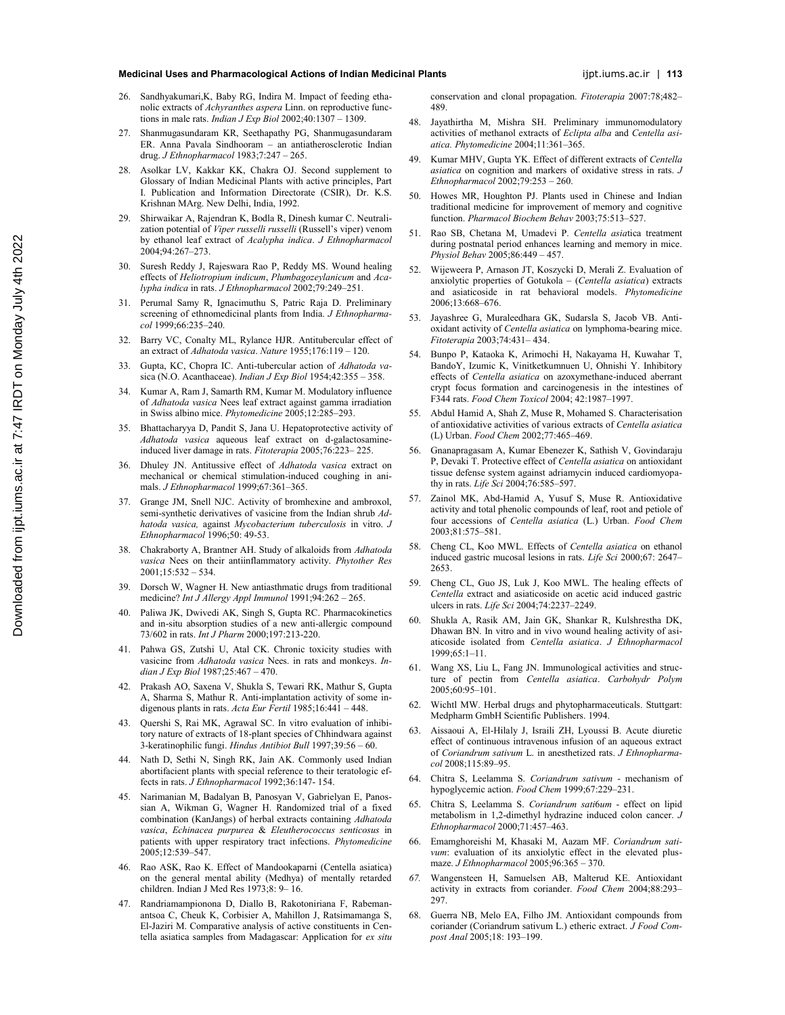#### **Medicinal Uses and Pharmacological Actions of Indian Medicinal Plants** in the state of indian in the state of the latter in the latter of the latter in the latter in the latter in the latter in the latter of the latter in

- 26. Sandhyakumari,K, Baby RG, Indira M. Impact of feeding ethanolic extracts of *Achyranthes aspera* Linn. on reproductive functions in male rats. *Indian J Exp Biol* 2002;40:1307 – 1309.
- 27. Shanmugasundaram KR, Seethapathy PG, Shanmugasundaram ER. Anna Pavala Sindhooram – an antiatherosclerotic Indian drug. *J Ethnopharmacol* 1983;7:247 – 265.
- 28. Asolkar LV, Kakkar KK, Chakra OJ. Second supplement to Glossary of Indian Medicinal Plants with active principles, Part I. Publication and Information Directorate (CSIR), Dr. K.S. Krishnan MArg. New Delhi, India, 1992.
- 29. Shirwaikar A, Rajendran K, Bodla R, Dinesh kumar C. Neutralization potential of *Viper russelli russelli* (Russell's viper) venom by ethanol leaf extract of *Acalypha indica*. *J Ethnopharmacol* 2004;94:267–273.
- 30. Suresh Reddy J, Rajeswara Rao P, Reddy MS. Wound healing effects of *Heliotropium indicum*, *Plumbagozeylanicum* and *Acalypha indica* in rats. *J Ethnopharmacol* 2002;79:249–251.
- 31. Perumal Samy R, Ignacimuthu S, Patric Raja D. Preliminary screening of ethnomedicinal plants from India. *J Ethnopharmacol* 1999;66:235–240.
- 32. Barry VC, Conalty ML, Rylance HJR. Antitubercular effect of an extract of *Adhatoda vasica*. *Nature* 1955;176:119 – 120.
- 33. Gupta, KC, Chopra IC. Anti-tubercular action of *Adhatoda va*sica (N.O. Acanthaceae). *Indian J Exp Biol* 1954;42:355 – 358.
- 34. Kumar A, Ram J, Samarth RM, Kumar M. Modulatory influence of *Adhatoda vasica* Nees leaf extract against gamma irradiation in Swiss albino mice. *Phytomedicine* 2005;12:285–293.
- 35. Bhattacharyya D, Pandit S, Jana U. Hepatoprotective activity of *Adhatoda vasica* aqueous leaf extract on d-galactosamineinduced liver damage in rats. *Fitoterapia* 2005;76:223– 225.
- 36. Dhuley JN. Antitussive effect of *Adhatoda* v*asica* extract on mechanical or chemical stimulation-induced coughing in animals. *J Ethnopharmacol* 1999;67:361–365.
- 37. Grange JM, Snell NJC. Activity of bromhexine and ambroxol, semi-synthetic derivatives of vasicine from the Indian shrub *Adhatoda vasica,* against *Mycobacterium tuberculosis* in vitro. *J Ethnopharmacol* 1996;50: 49-53.
- 38. Chakraborty A, Brantner AH. Study of alkaloids from *Adhatoda vasica* Nees on their antiinflammatory activity. *Phytother Res*  $2001;15:532 - 534.$
- 39. Dorsch W, Wagner H. New antiasthmatic drugs from traditional medicine? *Int J Allergy Appl Immunol* 1991;94:262 – 265.
- 40. Paliwa JK, Dwivedi AK, Singh S, Gupta RC. Pharmacokinetics and in-situ absorption studies of a new anti-allergic compound 73/602 in rats. *Int J Pharm* 2000;197:213-220.
- 41. Pahwa GS, Zutshi U, Atal CK. Chronic toxicity studies with vasicine from *Adhatoda vasica* Nees. in rats and monkeys. *Indian J Exp Biol* 1987;25:467 – 470.
- 42. Prakash AO, Saxena V, Shukla S, Tewari RK, Mathur S, Gupta A, Sharma S, Mathur R. Anti-implantation activity of some indigenous plants in rats. *Acta Eur Fertil* 1985;16:441 – 448.
- Quershi S, Rai MK, Agrawal SC. In vitro evaluation of inhibitory nature of extracts of 18-plant species of Chhindwara against 3-keratinophilic fungi. *Hindus Antibiot Bull* 1997;39:56 – 60.
- 44. Nath D, Sethi N, Singh RK, Jain AK. Commonly used Indian abortifacient plants with special reference to their teratologic effects in rats. *J Ethnopharmacol* 1992;36:147- 154.
- 45. Narimanian M, Badalyan B, Panosyan V, Gabrielyan E, Panossian A, Wikman G, Wagner H. Randomized trial of a fixed combination (KanJangs) of herbal extracts containing *Adhatoda vasica*, *Echinacea purpurea* & *Eleutherococcus senticosus* in patients with upper respiratory tract infections. *Phytomedicine* 2005;12:539–547.
- 46. Rao ASK, Rao K. Effect of Mandookaparni (Centella asiatica) on the general mental ability (Medhya) of mentally retarded children. Indian J Med Res 1973;8: 9– 16.
- 47. Randriamampionona D, Diallo B, Rakotoniriana F, Rabemanantsoa C, Cheuk K, Corbisier A, Mahillon J, Ratsimamanga S, El-Jaziri M. Comparative analysis of active constituents in Centella asiatica samples from Madagascar: Application for *ex situ*

conservation and clonal propagation. *Fitoterapia* 2007:78;482– 489.

- 48. Jayathirtha M, Mishra SH. Preliminary immunomodulatory activities of methanol extracts of *Eclipta alba* and *Centella asiatica. Phytomedicine* 2004;11:361–365.
- 49. Kumar MHV, Gupta YK. Effect of different extracts of *Centella asiatica* on cognition and markers of oxidative stress in rats. *J Ethnopharmacol* 2002;79:253 – 260.
- Howes MR, Houghton PJ. Plants used in Chinese and Indian traditional medicine for improvement of memory and cognitive function. *Pharmacol Biochem Behav* 2003;75:513–527.
- 51. Rao SB, Chetana M, Umadevi P. *Centella asia*tica treatment during postnatal period enhances learning and memory in mice. *Physiol Behav* 2005;86:449 – 457.
- 52. Wijeweera P, Arnason JT, Koszycki D, Merali Z. Evaluation of anxiolytic properties of Gotukola – (*Centella asiatica*) extracts and asiaticoside in rat behavioral models. *Phytomedicine* 2006;13:668–676.
- 53. Jayashree G, Muraleedhara GK, Sudarsla S, Jacob VB. Antioxidant activity of *Centella asiatica* on lymphoma-bearing mice. *Fitoterapia* 2003;74:431– 434.
- 54. Bunpo P, Kataoka K, Arimochi H, Nakayama H, Kuwahar T, BandoY, Izumic K, Vinitketkumnuen U, Ohnishi Y. Inhibitory effects of *Centella asiatica* on azoxymethane-induced aberrant crypt focus formation and carcinogenesis in the intestines of F344 rats. *Food Chem Toxicol* 2004; 42:1987–1997.
- 55. Abdul Hamid A, Shah Z, Muse R, Mohamed S. Characterisation of antioxidative activities of various extracts of *Centella asiatica* (L) Urban. *Food Chem* 2002;77:465–469.
- 56. Gnanapragasam A, Kumar Ebenezer K, Sathish V, Govindaraju P, Devaki T. Protective effect of *Centella asiatica* on antioxidant tissue defense system against adriamycin induced cardiomyopathy in rats. *Life Sci* 2004;76:585–597.
- 57. Zainol MK, Abd-Hamid A, Yusuf S, Muse R. Antioxidative activity and total phenolic compounds of leaf, root and petiole of four accessions of *Centella asiatica* (L.) Urban. *Food Chem* 2003;81:575–581.
- 58. Cheng CL, Koo MWL. Effects of *Centella asiatica* on ethanol induced gastric mucosal lesions in rats. *Life Sci* 2000;67: 2647– 2653.
- 59. Cheng CL, Guo JS, Luk J, Koo MWL. The healing effects of *Centella* extract and asiaticoside on acetic acid induced gastric ulcers in rats. *Life Sci* 2004;74:2237–2249.
- 60. Shukla A, Rasik AM, Jain GK, Shankar R, Kulshrestha DK, Dhawan BN. In vitro and in vivo wound healing activity of asiaticoside isolated from *Centella asiatica*. *J Ethnopharmacol* 1999;65:1–11.
- 61. Wang XS, Liu L, Fang JN. Immunological activities and structure of pectin from *Centella asiatica*. *Carbohydr Polym* 2005;60:95–101.
- 62. Wichtl MW. Herbal drugs and phytopharmaceuticals. Stuttgart: Medpharm GmbH Scientific Publishers. 1994.
- 63. Aissaoui A, El-Hilaly J, Israili ZH, Lyoussi B. Acute diuretic effect of continuous intravenous infusion of an aqueous extract of *Coriandrum sativum* L. in anesthetized rats. *J Ethnopharmacol* 2008;115:89–95.
- 64. Chitra S, Leelamma S. *Coriandrum sativum* mechanism of hypoglycemic action. *Food Chem* 1999;67:229–231.
- 65. Chitra S, Leelamma S. *Coriandrum sati*6*um* effect on lipid metabolism in 1,2-dimethyl hydrazine induced colon cancer. *J Ethnopharmacol* 2000;71:457–463.
- 66. Emamghoreishi M, Khasaki M, Aazam MF. *Coriandrum sativum*: evaluation of its anxiolytic effect in the elevated plusmaze. *J Ethnopharmacol* 2005;96:365 – 370.
- *67.* Wangensteen H, Samuelsen AB, Malterud KE. Antioxidant activity in extracts from coriander. *Food Chem* 2004;88:293– 297.
- 68. Guerra NB, Melo EA, Filho JM. Antioxidant compounds from coriander (Coriandrum sativum L.) etheric extract. *J Food Compost Anal* 2005;18: 193–199.